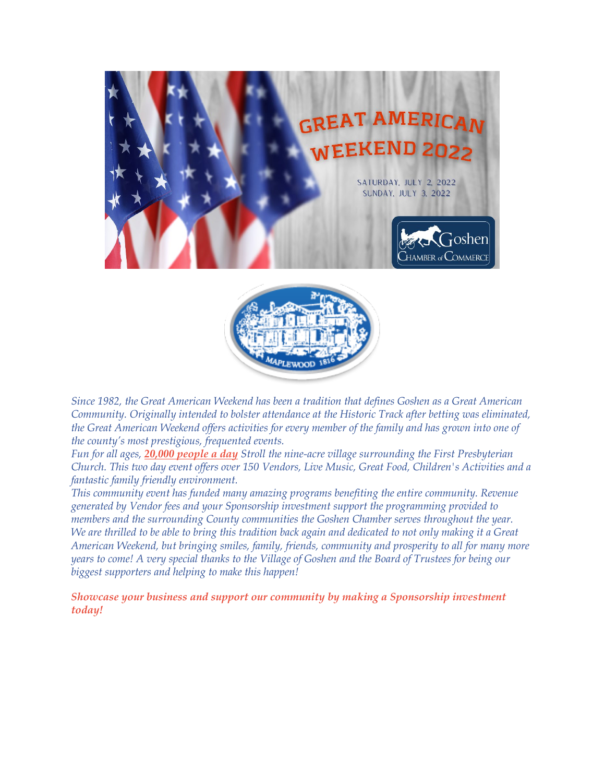



*Since 1982, the Great American Weekend has been a tradition that defines Goshen as a Great American Community. Originally intended to bolster attendance at the Historic Track after betting was eliminated, the Great American Weekend offers activities for every member of the family and has grown into one of the county's most prestigious, frequented events.*

*Fun for all ages, 20,000 people a day Stroll the nine-acre village surrounding the First Presbyterian Church. This two day event offers over 150 Vendors, Live Music, Great Food, Children's Activities and a fantastic family friendly environment.*

*This community event has funded many amazing programs benefiting the entire community. Revenue generated by Vendor fees and your Sponsorship investment support the programming provided to members and the surrounding County communities the Goshen Chamber serves throughout the year. We are thrilled to be able to bring this tradition back again and dedicated to not only making it a Great American Weekend, but bringing smiles, family, friends, community and prosperity to all for many more years to come! A very special thanks to the Village of Goshen and the Board of Trustees for being our biggest supporters and helping to make this happen!*

*Showcase your business and support our community by making a Sponsorship investment today!*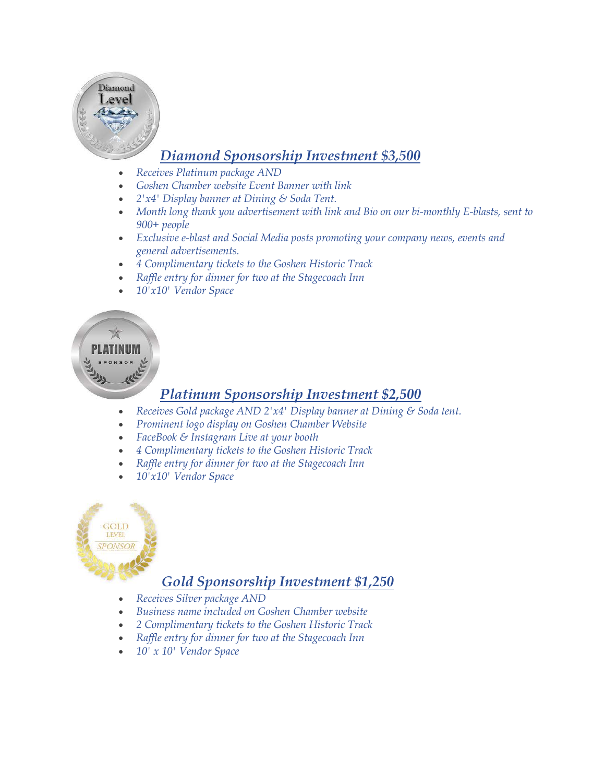

# *Diamond Sponsorship Investment \$3,500*

- *Receives Platinum package AND*
- *Goshen Chamber website Event Banner with link*
- *2'x4' Display banner at Dining & Soda Tent.*
- *Month long thank you advertisement with link and Bio on our bi-monthly E-blasts, sent to 900+ people*
- *Exclusive e-blast and Social Media posts promoting your company news, events and general advertisements.*
- *4 Complimentary tickets to the Goshen Historic Track*
- *Raffle entry for dinner for two at the Stagecoach Inn*
- *10'x10' Vendor Space*

### *Platinum Sponsorship Investment \$2,500*

- *Receives Gold package AND 2'x4' Display banner at Dining & Soda tent.*
- *Prominent logo display on Goshen Chamber Website*
- *FaceBook & Instagram Live at your booth*
- *4 Complimentary tickets to the Goshen Historic Track*
- *Raffle entry for dinner for two at the Stagecoach Inn*
- *10'x10' Vendor Space*



### *Gold Sponsorship Investment \$1,250*

- *Receives Silver package AND*
- *Business name included on Goshen Chamber website*
- *2 Complimentary tickets to the Goshen Historic Track*
- *Raffle entry for dinner for two at the Stagecoach Inn*
- *10' x 10' Vendor Space*